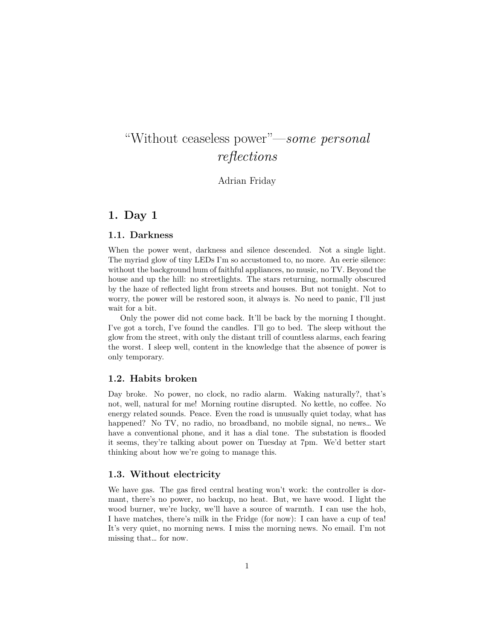# "Without ceaseless power"—*some personal reflections*

Adrian Friday

# **1. Day 1**

#### **1.1. Darkness**

When the power went, darkness and silence descended. Not a single light. The myriad glow of tiny LEDs I'm so accustomed to, no more. An eerie silence: without the background hum of faithful appliances, no music, no TV. Beyond the house and up the hill: no streetlights. The stars returning, normally obscured by the haze of reflected light from streets and houses. But not tonight. Not to worry, the power will be restored soon, it always is. No need to panic, I'll just wait for a bit.

Only the power did not come back. It'll be back by the morning I thought. I've got a torch, I've found the candles. I'll go to bed. The sleep without the glow from the street, with only the distant trill of countless alarms, each fearing the worst. I sleep well, content in the knowledge that the absence of power is only temporary.

## **1.2. Habits broken**

Day broke. No power, no clock, no radio alarm. Waking naturally?, that's not, well, natural for me! Morning routine disrupted. No kettle, no coffee. No energy related sounds. Peace. Even the road is unusually quiet today, what has happened? No TV, no radio, no broadband, no mobile signal, no news… We have a conventional phone, and it has a dial tone. The substation is flooded it seems, they're talking about power on Tuesday at 7pm. We'd better start thinking about how we're going to manage this.

#### **1.3. Without electricity**

We have gas. The gas fired central heating won't work: the controller is dormant, there's no power, no backup, no heat. But, we have wood. I light the wood burner, we're lucky, we'll have a source of warmth. I can use the hob, I have matches, there's milk in the Fridge (for now): I can have a cup of tea! It's very quiet, no morning news. I miss the morning news. No email. I'm not missing that… for now.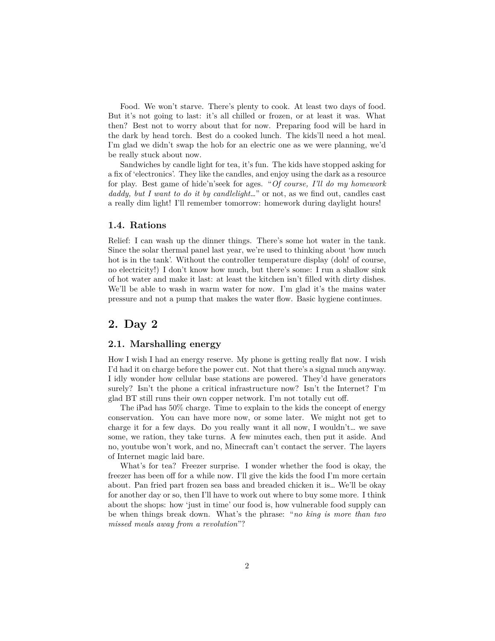Food. We won't starve. There's plenty to cook. At least two days of food. But it's not going to last: it's all chilled or frozen, or at least it was. What then? Best not to worry about that for now. Preparing food will be hard in the dark by head torch. Best do a cooked lunch. The kids'll need a hot meal. I'm glad we didn't swap the hob for an electric one as we were planning, we'd be really stuck about now.

Sandwiches by candle light for tea, it's fun. The kids have stopped asking for a fix of 'electronics'. They like the candles, and enjoy using the dark as a resource for play. Best game of hide'n'seek for ages. "*Of course, I'll do my homework daddy, but I want to do it by candlelight…*" or not, as we find out, candles cast a really dim light! I'll remember tomorrow: homework during daylight hours!

#### **1.4. Rations**

Relief: I can wash up the dinner things. There's some hot water in the tank. Since the solar thermal panel last year, we're used to thinking about 'how much hot is in the tank'. Without the controller temperature display (doh! of course, no electricity!) I don't know how much, but there's some: I run a shallow sink of hot water and make it last: at least the kitchen isn't filled with dirty dishes. We'll be able to wash in warm water for now. I'm glad it's the mains water pressure and not a pump that makes the water flow. Basic hygiene continues.

# **2. Day 2**

## **2.1. Marshalling energy**

How I wish I had an energy reserve. My phone is getting really flat now. I wish I'd had it on charge before the power cut. Not that there's a signal much anyway. I idly wonder how cellular base stations are powered. They'd have generators surely? Isn't the phone a critical infrastructure now? Isn't the Internet? I'm glad BT still runs their own copper network. I'm not totally cut off.

The iPad has 50% charge. Time to explain to the kids the concept of energy conservation. You can have more now, or some later. We might not get to charge it for a few days. Do you really want it all now, I wouldn't… we save some, we ration, they take turns. A few minutes each, then put it aside. And no, youtube won't work, and no, Minecraft can't contact the server. The layers of Internet magic laid bare.

What's for tea? Freezer surprise. I wonder whether the food is okay, the freezer has been off for a while now. I'll give the kids the food I'm more certain about. Pan fried part frozen sea bass and breaded chicken it is… We'll be okay for another day or so, then I'll have to work out where to buy some more. I think about the shops: how 'just in time' our food is, how vulnerable food supply can be when things break down. What's the phrase: "*no king is more than two missed meals away from a revolution*"?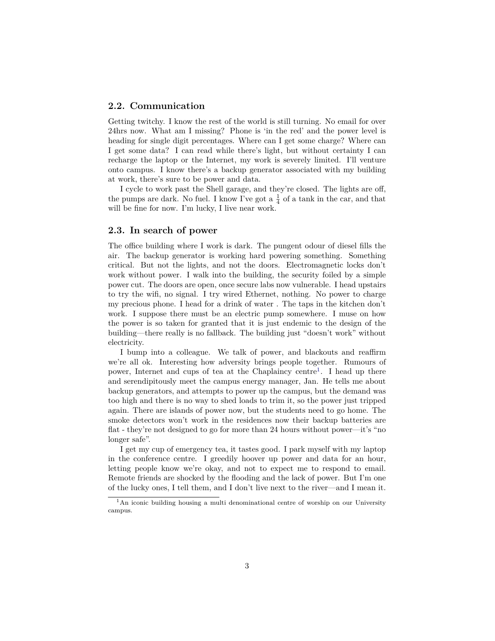## **2.2. Communication**

Getting twitchy. I know the rest of the world is still turning. No email for over 24hrs now. What am I missing? Phone is 'in the red' and the power level is heading for single digit percentages. Where can I get some charge? Where can I get some data? I can read while there's light, but without certainty I can recharge the laptop or the Internet, my work is severely limited. I'll venture onto campus. I know there's a backup generator associated with my building at work, there's sure to be power and data.

I cycle to work past the Shell garage, and they're closed. The lights are off, the pumps are dark. No fuel. I know I've got a  $\frac{1}{4}$  of a tank in the car, and that will be fine for now. I'm lucky, I live near work.

#### **2.3. In search of power**

The office building where I work is dark. The pungent odour of diesel fills the air. The backup generator is working hard powering something. Something critical. But not the lights, and not the doors. Electromagnetic locks don't work without power. I walk into the building, the security foiled by a simple power cut. The doors are open, once secure labs now vulnerable. I head upstairs to try the wifi, no signal. I try wired Ethernet, nothing. No power to charge my precious phone. I head for a drink of water . The taps in the kitchen don't work. I suppose there must be an electric pump somewhere. I muse on how the power is so taken for granted that it is just endemic to the design of the building—there really is no fallback. The building just "doesn't work" without electricity.

I bump into a colleague. We talk of power, and blackouts and reaffirm we're all ok. Interesting how adversity brings people together. Rumours of power, Internet and cups of tea at the Chaplaincy centre<sup>[1](#page-2-0)</sup>. I head up there and serendipitously meet the campus energy manager, Jan. He tells me about backup generators, and attempts to power up the campus, but the demand was too high and there is no way to shed loads to trim it, so the power just tripped again. There are islands of power now, but the students need to go home. The smoke detectors won't work in the residences now their backup batteries are flat - they're not designed to go for more than 24 hours without power—it's "no longer safe".

I get my cup of emergency tea, it tastes good. I park myself with my laptop in the conference centre. I greedily hoover up power and data for an hour, letting people know we're okay, and not to expect me to respond to email. Remote friends are shocked by the flooding and the lack of power. But I'm one of the lucky ones, I tell them, and I don't live next to the river—and I mean it.

<span id="page-2-0"></span><sup>1</sup>An iconic building housing a multi denominational centre of worship on our University campus.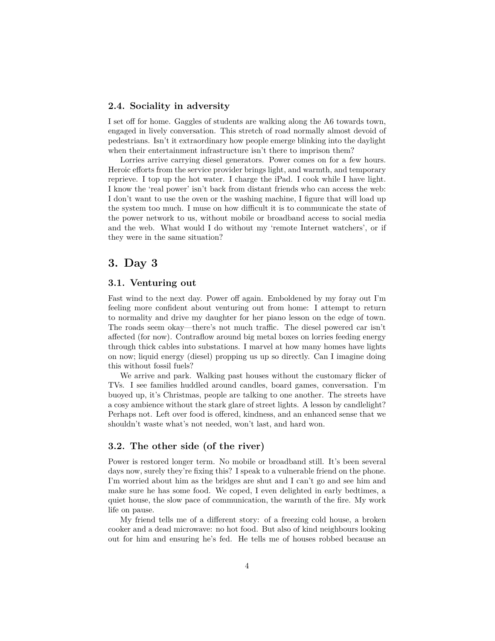## **2.4. Sociality in adversity**

I set off for home. Gaggles of students are walking along the A6 towards town, engaged in lively conversation. This stretch of road normally almost devoid of pedestrians. Isn't it extraordinary how people emerge blinking into the daylight when their entertainment infrastructure isn't there to imprison them?

Lorries arrive carrying diesel generators. Power comes on for a few hours. Heroic efforts from the service provider brings light, and warmth, and temporary reprieve. I top up the hot water. I charge the iPad. I cook while I have light. I know the 'real power' isn't back from distant friends who can access the web: I don't want to use the oven or the washing machine, I figure that will load up the system too much. I muse on how difficult it is to communicate the state of the power network to us, without mobile or broadband access to social media and the web. What would I do without my 'remote Internet watchers', or if they were in the same situation?

# **3. Day 3**

# **3.1. Venturing out**

Fast wind to the next day. Power off again. Emboldened by my foray out I'm feeling more confident about venturing out from home: I attempt to return to normality and drive my daughter for her piano lesson on the edge of town. The roads seem okay—there's not much traffic. The diesel powered car isn't affected (for now). Contraflow around big metal boxes on lorries feeding energy through thick cables into substations. I marvel at how many homes have lights on now; liquid energy (diesel) propping us up so directly. Can I imagine doing this without fossil fuels?

We arrive and park. Walking past houses without the customary flicker of TVs. I see families huddled around candles, board games, conversation. I'm buoyed up, it's Christmas, people are talking to one another. The streets have a cosy ambience without the stark glare of street lights. A lesson by candlelight? Perhaps not. Left over food is offered, kindness, and an enhanced sense that we shouldn't waste what's not needed, won't last, and hard won.

# **3.2. The other side (of the river)**

Power is restored longer term. No mobile or broadband still. It's been several days now, surely they're fixing this? I speak to a vulnerable friend on the phone. I'm worried about him as the bridges are shut and I can't go and see him and make sure he has some food. We coped, I even delighted in early bedtimes, a quiet house, the slow pace of communication, the warmth of the fire. My work life on pause.

My friend tells me of a different story: of a freezing cold house, a broken cooker and a dead microwave: no hot food. But also of kind neighbours looking out for him and ensuring he's fed. He tells me of houses robbed because an